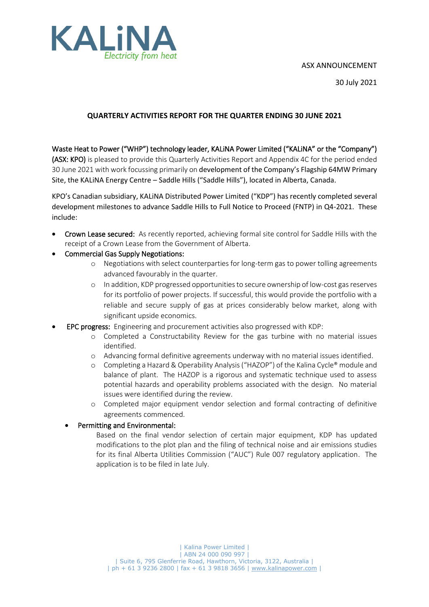#### ASX ANNOUNCEMENT



30 July 2021

## **QUARTERLY ACTIVITIES REPORT FOR THE QUARTER ENDING 30 JUNE 2021**

Waste Heat to Power ("WHP") technology leader, KALiNA Power Limited ("KALiNA" or the "Company") (ASX: KPO) is pleased to provide this Quarterly Activities Report and Appendix 4C for the period ended 30 June 2021 with work focussing primarily on development of the Company's Flagship 64MW Primary Site, the KALiNA Energy Centre – Saddle Hills ("Saddle Hills"), located in Alberta, Canada.

KPO's Canadian subsidiary, KALiNA Distributed Power Limited ("KDP") has recently completed several development milestones to advance Saddle Hills to Full Notice to Proceed (FNTP) in Q4-2021. These include:

- Crown Lease secured: As recently reported, achieving formal site control for Saddle Hills with the receipt of a Crown Lease from the Government of Alberta.
- Commercial Gas Supply Negotiations:
	- o Negotiations with select counterparties for long-term gas to power tolling agreements advanced favourably in the quarter.
	- o In addition, KDP progressed opportunities to secure ownership of low-cost gas reserves for its portfolio of power projects. If successful, this would provide the portfolio with a reliable and secure supply of gas at prices considerably below market, along with significant upside economics.
- EPC progress: Engineering and procurement activities also progressed with KDP:
	- o Completed a Constructability Review for the gas turbine with no material issues identified.
	- o Advancing formal definitive agreements underway with no material issues identified.
	- o Completing a Hazard & Operability Analysis ("HAZOP") of the Kalina Cycle® module and balance of plant. The HAZOP is a rigorous and systematic technique used to assess potential hazards and operability problems associated with the design. No material issues were identified during the review.
	- o Completed major equipment vendor selection and formal contracting of definitive agreements commenced.

## • Permitting and Environmental:

Based on the final vendor selection of certain major equipment, KDP has updated modifications to the plot plan and the filing of technical noise and air emissions studies for its final Alberta Utilities Commission ("AUC") Rule 007 regulatory application. The application is to be filed in late July.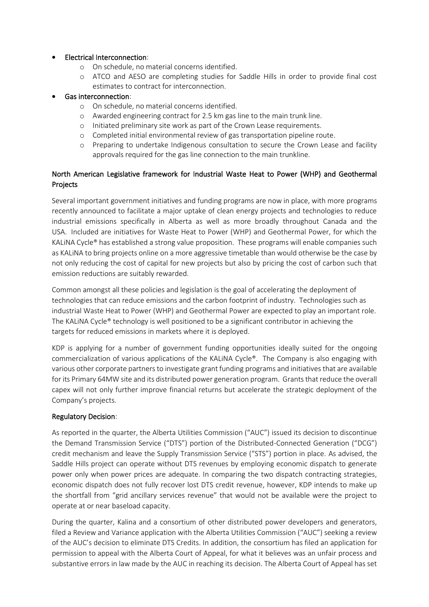### • Electrical Interconnection:

- o On schedule, no material concerns identified.
- o ATCO and AESO are completing studies for Saddle Hills in order to provide final cost estimates to contract for interconnection.

#### • Gas interconnection:

- o On schedule, no material concerns identified.
- o Awarded engineering contract for 2.5 km gas line to the main trunk line.
- o Initiated preliminary site work as part of the Crown Lease requirements.
- o Completed initial environmental review of gas transportation pipeline route.
- o Preparing to undertake Indigenous consultation to secure the Crown Lease and facility approvals required for the gas line connection to the main trunkline.

### North American Legislative framework for Industrial Waste Heat to Power (WHP) and Geothermal Projects

Several important government initiatives and funding programs are now in place, with more programs recently announced to facilitate a major uptake of clean energy projects and technologies to reduce industrial emissions specifically in Alberta as well as more broadly throughout Canada and the USA. Included are initiatives for Waste Heat to Power (WHP) and Geothermal Power, for which the KALiNA Cycle® has established a strong value proposition. These programs will enable companies such as KALiNA to bring projects online on a more aggressive timetable than would otherwise be the case by not only reducing the cost of capital for new projects but also by pricing the cost of carbon such that emission reductions are suitably rewarded.

Common amongst all these policies and legislation is the goal of accelerating the deployment of technologies that can reduce emissions and the carbon footprint of industry. Technologies such as industrial Waste Heat to Power (WHP) and Geothermal Power are expected to play an important role. The KALiNA Cycle® technology is well positioned to be a significant contributor in achieving the targets for reduced emissions in markets where it is deployed.

KDP is applying for a number of government funding opportunities ideally suited for the ongoing commercialization of various applications of the KALiNA Cycle®. The Company is also engaging with various other corporate partners to investigate grant funding programs and initiatives that are available for its Primary 64MW site and its distributed power generation program. Grants that reduce the overall capex will not only further improve financial returns but accelerate the strategic deployment of the Company's projects.

### Regulatory Decision:

As reported in the quarter, the Alberta Utilities Commission ("AUC") issued its decision to discontinue the Demand Transmission Service ("DTS") portion of the Distributed-Connected Generation ("DCG") credit mechanism and leave the Supply Transmission Service ("STS") portion in place. As advised, the Saddle Hills project can operate without DTS revenues by employing economic dispatch to generate power only when power prices are adequate. In comparing the two dispatch contracting strategies, economic dispatch does not fully recover lost DTS credit revenue, however, KDP intends to make up the shortfall from "grid ancillary services revenue" that would not be available were the project to operate at or near baseload capacity.

During the quarter, Kalina and a consortium of other distributed power developers and generators, filed a Review and Variance application with the Alberta Utilities Commission ("AUC") seeking a review of the AUC's decision to eliminate DTS Credits. In addition, the consortium has filed an application for permission to appeal with the Alberta Court of Appeal, for what it believes was an unfair process and substantive errors in law made by the AUC in reaching its decision. The Alberta Court of Appeal has set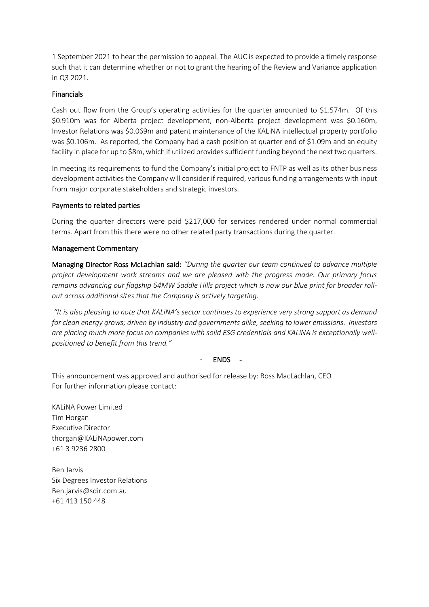1 September 2021 to hear the permission to appeal. The AUC is expected to provide a timely response such that it can determine whether or not to grant the hearing of the Review and Variance application in Q3 2021.

#### Financials

Cash out flow from the Group's operating activities for the quarter amounted to \$1.574m. Of this \$0.910m was for Alberta project development, non-Alberta project development was \$0.160m, Investor Relations was \$0.069m and patent maintenance of the KALiNA intellectual property portfolio was \$0.106m. As reported, the Company had a cash position at quarter end of \$1.09m and an equity facility in place for up to \$8m, which if utilized provides sufficient funding beyond the next two quarters.

In meeting its requirements to fund the Company's initial project to FNTP as well as its other business development activities the Company will consider if required, various funding arrangements with input from major corporate stakeholders and strategic investors.

#### Payments to related parties

During the quarter directors were paid \$217,000 for services rendered under normal commercial terms. Apart from this there were no other related party transactions during the quarter.

#### Management Commentary

Managing Director Ross McLachlan said: *"During the quarter our team continued to advance multiple project development work streams and we are pleased with the progress made. Our primary focus remains advancing our flagship 64MW Saddle Hills project which is now our blue print for broader rollout across additional sites that the Company is actively targeting.* 

*"It is also pleasing to note that KALiNA's sector continues to experience very strong support as demand for clean energy grows; driven by industry and governments alike, seeking to lower emissions. Investors are placing much more focus on companies with solid ESG credentials and KALiNA is exceptionally wellpositioned to benefit from this trend."*

### - ENDS -

This announcement was approved and authorised for release by: Ross MacLachlan, CEO For further information please contact:

KALiNA Power Limited Tim Horgan Executive Director thorgan@KALiNApower.com +61 3 9236 2800

Ben Jarvis Six Degrees Investor Relations Ben.jarvis@sdir.com.au +61 413 150 448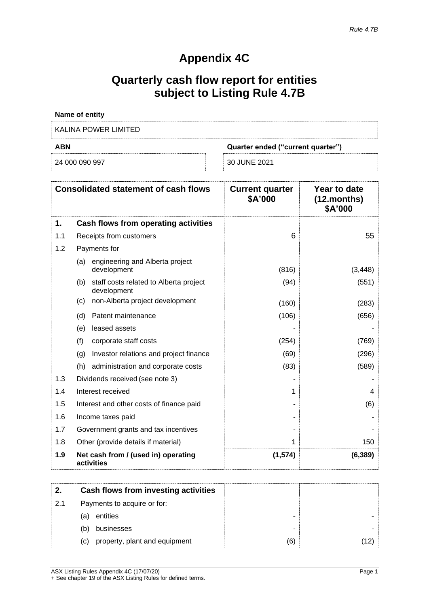# **Appendix 4C**

# **Quarterly cash flow report for entities subject to Listing Rule 4.7B**

| <b>Name of entity</b> |                                   |
|-----------------------|-----------------------------------|
| KALINA POWER LIMITED  |                                   |
| <b>ABN</b>            |                                   |
|                       | Quarter ended ("current quarter") |

| <b>Consolidated statement of cash flows</b> |                                                              | <b>Current quarter</b><br>\$A'000 | Year to date<br>$(12$ .months)<br>\$A'000 |
|---------------------------------------------|--------------------------------------------------------------|-----------------------------------|-------------------------------------------|
| 1.                                          | Cash flows from operating activities                         |                                   |                                           |
| 1.1                                         | Receipts from customers                                      | 6                                 | 55                                        |
| 1.2                                         | Payments for                                                 |                                   |                                           |
|                                             | engineering and Alberta project<br>(a)<br>development        | (816)                             | (3, 448)                                  |
|                                             | staff costs related to Alberta project<br>(b)<br>development | (94)                              | (551)                                     |
|                                             | non-Alberta project development<br>(c)                       | (160)                             | (283)                                     |
|                                             | Patent maintenance<br>(d)                                    | (106)                             | (656)                                     |
|                                             | leased assets<br>(e)                                         |                                   |                                           |
|                                             | (f)<br>corporate staff costs                                 | (254)                             | (769)                                     |
|                                             | Investor relations and project finance<br>(g)                | (69)                              | (296)                                     |
|                                             | administration and corporate costs<br>(h)                    | (83)                              | (589)                                     |
| 1.3                                         | Dividends received (see note 3)                              |                                   |                                           |
| 1.4                                         | Interest received                                            | 1                                 | 4                                         |
| 1.5                                         | Interest and other costs of finance paid                     |                                   | (6)                                       |
| 1.6                                         | Income taxes paid                                            |                                   |                                           |
| 1.7                                         | Government grants and tax incentives                         |                                   |                                           |
| 1.8                                         | Other (provide details if material)                          | 1                                 | 150                                       |
| 1.9                                         | Net cash from / (used in) operating<br>activities            | (1, 574)                          | (6, 389)                                  |

| 2.  | Cash flows from investing activities |     |     |
|-----|--------------------------------------|-----|-----|
| 2.1 | Payments to acquire or for:          |     |     |
|     | entities<br>(a)                      |     |     |
|     | (b)<br>businesses                    |     |     |
|     | property, plant and equipment<br>(C) | (6) | 12) |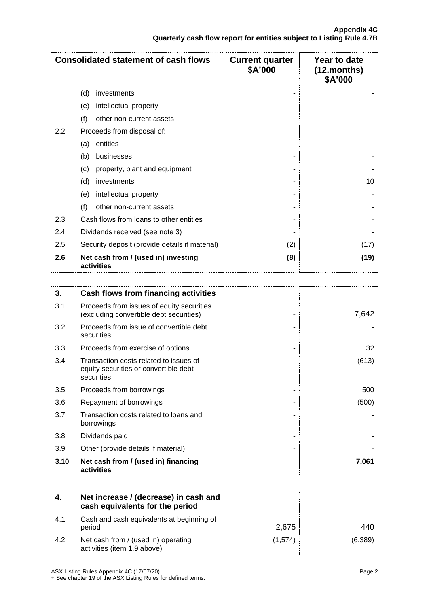| <b>Consolidated statement of cash flows</b>              |                                      | <b>Current quarter</b><br>\$A'000 | Year to date<br>$(12$ .months)<br>\$A'000 |
|----------------------------------------------------------|--------------------------------------|-----------------------------------|-------------------------------------------|
|                                                          | (d)<br>investments                   |                                   |                                           |
|                                                          | intellectual property<br>(e)         |                                   |                                           |
|                                                          | (f)<br>other non-current assets      |                                   |                                           |
| $2.2\,$                                                  | Proceeds from disposal of:           |                                   |                                           |
|                                                          | entities<br>(a)                      |                                   |                                           |
|                                                          | (b)<br>businesses                    |                                   |                                           |
|                                                          | property, plant and equipment<br>(c) |                                   |                                           |
|                                                          | (d)<br>investments                   |                                   | 10                                        |
|                                                          | intellectual property<br>(e)         |                                   |                                           |
|                                                          | (f)<br>other non-current assets      |                                   |                                           |
| 2.3<br>Cash flows from loans to other entities           |                                      |                                   |                                           |
| 2.4<br>Dividends received (see note 3)                   |                                      |                                   |                                           |
| 2.5<br>Security deposit (provide details if material)    |                                      | (2)                               | (17)                                      |
| Net cash from / (used in) investing<br>2.6<br>activities |                                      | (8)                               | (19)                                      |

| 3.   | Cash flows from financing activities                                                          |       |
|------|-----------------------------------------------------------------------------------------------|-------|
| 3.1  | Proceeds from issues of equity securities<br>(excluding convertible debt securities)          | 7,642 |
| 3.2  | Proceeds from issue of convertible debt<br>securities                                         |       |
| 3.3  | Proceeds from exercise of options                                                             | 32    |
| 3.4  | Transaction costs related to issues of<br>equity securities or convertible debt<br>securities | (613) |
| 3.5  | Proceeds from borrowings                                                                      | 500   |
| 3.6  | Repayment of borrowings                                                                       | (500) |
| 3.7  | Transaction costs related to loans and<br>borrowings                                          |       |
| 3.8  | Dividends paid                                                                                |       |
| 3.9  | Other (provide details if material)                                                           |       |
| 3.10 | Net cash from / (used in) financing<br>activities                                             | 7,061 |

| 4.  | Net increase / (decrease) in cash and<br>cash equivalents for the period |         |         |
|-----|--------------------------------------------------------------------------|---------|---------|
| 4.1 | Cash and cash equivalents at beginning of<br>period                      | 2,675   | 440     |
| 4.2 | Net cash from / (used in) operating<br>activities (item 1.9 above)       | (1.574) | (6,389) |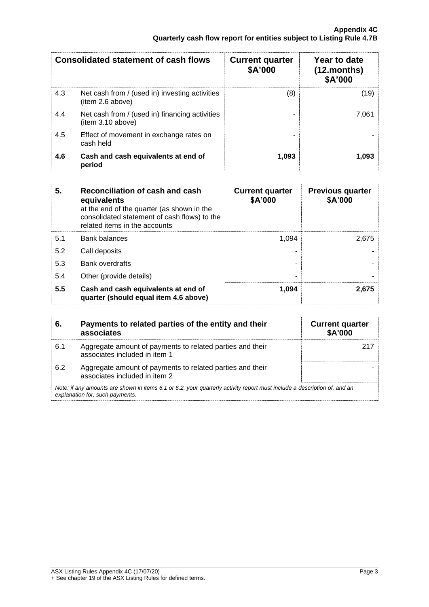| <b>Consolidated statement of cash flows</b> |                                                                     | <b>Current quarter</b><br>\$A'000 | Year to date<br>$(12$ .months)<br>\$A'000 |
|---------------------------------------------|---------------------------------------------------------------------|-----------------------------------|-------------------------------------------|
| 4.3                                         | Net cash from / (used in) investing activities<br>(item 2.6 above)  | (8)                               | (19)                                      |
| 4.4                                         | Net cash from / (used in) financing activities<br>(item 3.10 above) |                                   | 7,061                                     |
| 4.5                                         | Effect of movement in exchange rates on<br>cash held                |                                   |                                           |
| 4.6                                         | Cash and cash equivalents at end of<br>period                       | 1,093                             | 1.093                                     |

| Reconciliation of cash and cash<br>5.<br>equivalents<br>at the end of the quarter (as shown in the<br>consolidated statement of cash flows) to the<br>related items in the accounts |                                                                              | <b>Current quarter</b><br>\$A'000 | <b>Previous quarter</b><br>\$A'000 |
|-------------------------------------------------------------------------------------------------------------------------------------------------------------------------------------|------------------------------------------------------------------------------|-----------------------------------|------------------------------------|
| 5.1                                                                                                                                                                                 | <b>Bank balances</b>                                                         | 1.094                             | 2.675                              |
| 5.2                                                                                                                                                                                 | Call deposits                                                                |                                   |                                    |
| 5.3                                                                                                                                                                                 | Bank overdrafts                                                              |                                   |                                    |
| 5.4                                                                                                                                                                                 | Other (provide details)                                                      |                                   |                                    |
| 5.5                                                                                                                                                                                 | Cash and cash equivalents at end of<br>quarter (should equal item 4.6 above) | 1,094                             | 2,675                              |

|                                                                                                                                                             | Payments to related parties of the entity and their<br>associates                          | <b>Current quarter</b><br><b>\$A'000</b> |
|-------------------------------------------------------------------------------------------------------------------------------------------------------------|--------------------------------------------------------------------------------------------|------------------------------------------|
| 6.1                                                                                                                                                         | Aggregate amount of payments to related parties and their<br>associates included in item 1 |                                          |
| 6.2                                                                                                                                                         | Aggregate amount of payments to related parties and their<br>associates included in item 2 |                                          |
| Note: if any amounts are shown in items 6.1 or 6.2, your quarterly activity report must include a description of, and an<br>explanation for, such payments. |                                                                                            |                                          |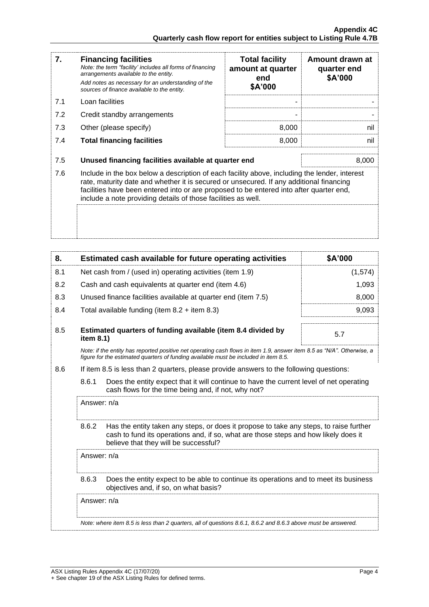| 7.  | <b>Financing facilities</b><br>Note: the term "facility' includes all forms of financing<br>arrangements available to the entity.<br>Add notes as necessary for an understanding of the<br>sources of finance available to the entity.                                                                                                               | <b>Total facility</b><br>amount at quarter<br>end<br>\$A'000 | Amount drawn at<br>quarter end<br>\$A'000 |
|-----|------------------------------------------------------------------------------------------------------------------------------------------------------------------------------------------------------------------------------------------------------------------------------------------------------------------------------------------------------|--------------------------------------------------------------|-------------------------------------------|
| 7.1 | Loan facilities                                                                                                                                                                                                                                                                                                                                      |                                                              |                                           |
| 7.2 | Credit standby arrangements                                                                                                                                                                                                                                                                                                                          |                                                              |                                           |
| 7.3 | Other (please specify)                                                                                                                                                                                                                                                                                                                               | 8,000                                                        | nil                                       |
| 7.4 | <b>Total financing facilities</b>                                                                                                                                                                                                                                                                                                                    | 8,000                                                        | nil                                       |
|     |                                                                                                                                                                                                                                                                                                                                                      |                                                              |                                           |
| 7.5 | Unused financing facilities available at quarter end                                                                                                                                                                                                                                                                                                 |                                                              | 8,000                                     |
| 7.6 | Include in the box below a description of each facility above, including the lender, interest<br>rate, maturity date and whether it is secured or unsecured. If any additional financing<br>facilities have been entered into or are proposed to be entered into after quarter end,<br>include a note providing details of those facilities as well. |                                                              |                                           |
|     |                                                                                                                                                                                                                                                                                                                                                      |                                                              |                                           |

| 8.  |                                                                                                                                                                                                                                 | Estimated cash available for future operating activities                                                                                                                                                       | \$A'000 |
|-----|---------------------------------------------------------------------------------------------------------------------------------------------------------------------------------------------------------------------------------|----------------------------------------------------------------------------------------------------------------------------------------------------------------------------------------------------------------|---------|
| 8.1 | Net cash from / (used in) operating activities (item 1.9)                                                                                                                                                                       |                                                                                                                                                                                                                | (1,574) |
| 8.2 |                                                                                                                                                                                                                                 | Cash and cash equivalents at quarter end (item 4.6)                                                                                                                                                            | 1,093   |
| 8.3 |                                                                                                                                                                                                                                 | Unused finance facilities available at quarter end (item 7.5)                                                                                                                                                  | 8,000   |
| 8.4 |                                                                                                                                                                                                                                 | Total available funding (item $8.2 +$ item $8.3$ )                                                                                                                                                             | 9,093   |
| 8.5 | item 8.1)                                                                                                                                                                                                                       | Estimated quarters of funding available (item 8.4 divided by                                                                                                                                                   | 5.7     |
|     |                                                                                                                                                                                                                                 | Note: if the entity has reported positive net operating cash flows in item 1.9, answer item 8.5 as "N/A". Otherwise, a<br>figure for the estimated quarters of funding available must be included in item 8.5. |         |
| 8.6 |                                                                                                                                                                                                                                 | If item 8.5 is less than 2 quarters, please provide answers to the following questions:                                                                                                                        |         |
|     | 8.6.1<br>Does the entity expect that it will continue to have the current level of net operating<br>cash flows for the time being and, if not, why not?                                                                         |                                                                                                                                                                                                                |         |
|     | Answer: n/a                                                                                                                                                                                                                     |                                                                                                                                                                                                                |         |
|     | 8.6.2<br>Has the entity taken any steps, or does it propose to take any steps, to raise further<br>cash to fund its operations and, if so, what are those steps and how likely does it<br>believe that they will be successful? |                                                                                                                                                                                                                |         |
|     | Answer: n/a                                                                                                                                                                                                                     |                                                                                                                                                                                                                |         |
|     | 8.6.3                                                                                                                                                                                                                           | Does the entity expect to be able to continue its operations and to meet its business<br>objectives and, if so, on what basis?                                                                                 |         |
|     | Answer: n/a                                                                                                                                                                                                                     |                                                                                                                                                                                                                |         |
|     |                                                                                                                                                                                                                                 | Note: where item 8.5 is less than 2 quarters, all of questions 8.6.1, 8.6.2 and 8.6.3 above must be answered.                                                                                                  |         |
|     |                                                                                                                                                                                                                                 |                                                                                                                                                                                                                |         |